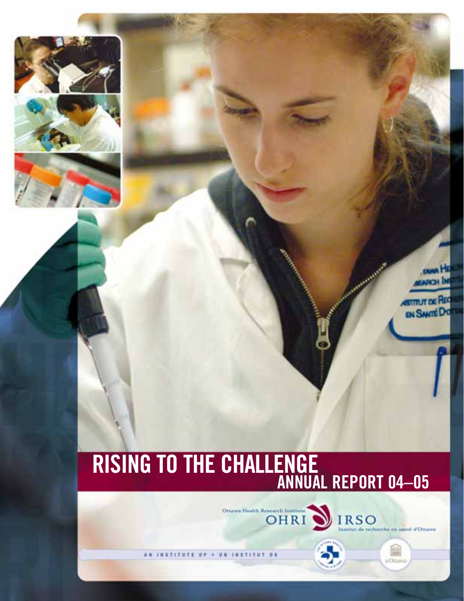

## **ANNUAL REPORT 04–05 RISING TO THE CHALLENGE**

OHRI DIRSO

计自 INSTITUT DE



画

**u**Chtan

**STITUT DE R**<br>EN SANTÉ D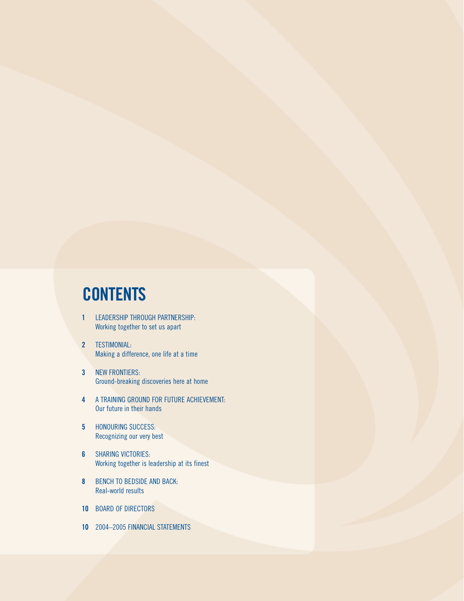## **CONTENTS**

- **1** [LEADERSHIP THROUGH PARTNERSHIP:](#page-2-0)  Working together to set us apart
- **2** TESTIMONIAL: [Making a difference, one life at a time](#page-3-0)
- **3** NEW FRONTIERS: [Ground-breaking discoveries here at home](#page-4-0)
- **4** [A TRAINING GROUND FOR FUTURE ACHIEVEMENT:](#page-5-0)  Our future in their hands
- **5** HONOURING SUCCESS: [Recognizing our very best](#page-6-0)
- **6** SHARING VICTORIES: [Working together is leadership at its finest](#page-7-0)
- **8** [BENCH TO BEDSIDE AND BACK:](#page-9-0) Real-world results
- **10** [BOARD OF DIRECTORS](#page-11-0)
- **10** [2004–2005 FINANCIAL STATEMENTS](#page-11-0)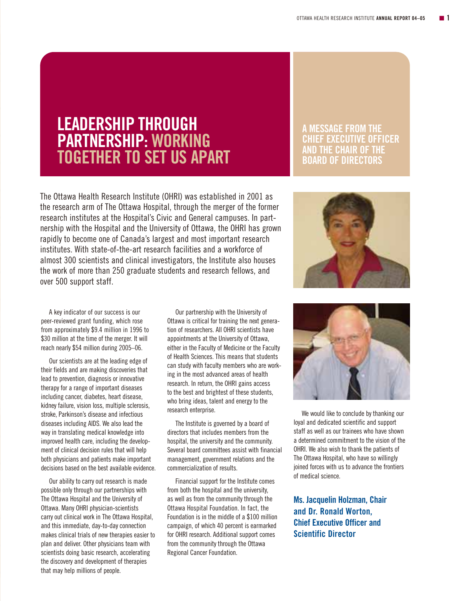## <span id="page-2-0"></span>**LEADERSHIP THROUGH PARTNERSHIP: WORKING TOGETHER TO SET US APART**

The Ottawa Health Research Institute (OHRI) was established in 2001 as the research arm of The Ottawa Hospital, through the merger of the former research institutes at the Hospital's Civic and General campuses. In partnership with the Hospital and the University of Ottawa, the OHRI has grown rapidly to become one of Canada's largest and most important research institutes. With state-of-the-art research facilities and a workforce of almost 300 scientists and clinical investigators, the Institute also houses the work of more than 250 graduate students and research fellows, and over 500 support staff.

## **A MESSAGE FROM THE CHIEF EXECUTIVE OFFICER AND THE CHAIR OF THE BOARD OF DIRECTORS**



A key indicator of our success is our peer-reviewed grant funding, which rose from approximately \$9.4 million in 1996 to \$30 million at the time of the merger. It will reach nearly \$54 million during 2005–06.

Our scientists are at the leading edge of their fields and are making discoveries that lead to prevention, diagnosis or innovative therapy for a range of important diseases including cancer, diabetes, heart disease, kidney failure, vision loss, multiple sclerosis, stroke, Parkinson's disease and infectious diseases including AIDS. We also lead the way in translating medical knowledge into improved health care, including the development of clinical decision rules that will help both physicians and patients make important decisions based on the best available evidence.

Our ability to carry out research is made possible only through our partnerships with The Ottawa Hospital and the University of Ottawa. Many OHRI physician-scientists carry out clinical work in The Ottawa Hospital, and this immediate, day-to-day connection makes clinical trials of new therapies easier to plan and deliver. Other physicians team with scientists doing basic research, accelerating the discovery and development of therapies that may help millions of people.

Our partnership with the University of Ottawa is critical for training the next generation of researchers. All OHRI scientists have appointments at the University of Ottawa, either in the Faculty of Medicine or the Faculty of Health Sciences. This means that students can study with faculty members who are working in the most advanced areas of health research. In return, the OHRI gains access to the best and brightest of these students, who bring ideas, talent and energy to the research enterprise.

The Institute is governed by a board of directors that includes members from the hospital, the university and the community. Several board committees assist with financial management, government relations and the commercialization of results.

Financial support for the Institute comes from both the hospital and the university, as well as from the community through the Ottawa Hospital Foundation. In fact, the Foundation is in the middle of a \$100 million campaign, of which 40 percent is earmarked for OHRI research. Additional support comes from the community through the Ottawa Regional Cancer Foundation.



We would like to conclude by thanking our loyal and dedicated scientific and support staff as well as our trainees who have shown a determined commitment to the vision of the OHRI. We also wish to thank the patients of The Ottawa Hospital, who have so willingly joined forces with us to advance the frontiers of medical science.

**Ms. Jacquelin Holzman, Chair and Dr. Ronald Worton, Chief Executive Officer and Scientific Director**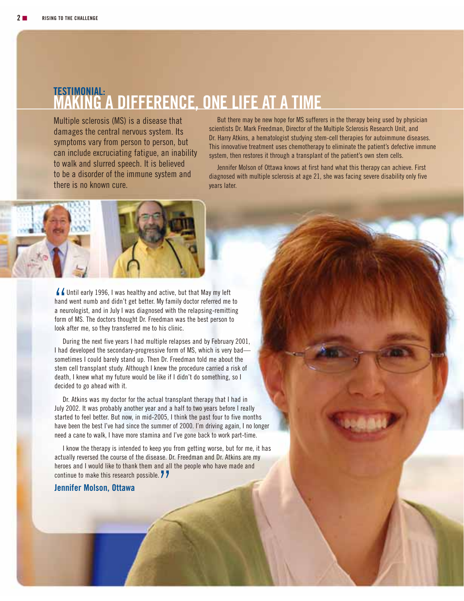## <span id="page-3-0"></span>**TESTIMONIAL: MAKING A DIFFERENCE, ONE LIFE AT A TIME**

Multiple sclerosis (MS) is a disease that damages the central nervous system. Its symptoms vary from person to person, but can include excruciating fatigue, an inability to walk and slurred speech. It is believed to be a disorder of the immune system and there is no known cure.

But there may be new hope for MS sufferers in the therapy being used by physician scientists Dr. Mark Freedman, Director of the Multiple Sclerosis Research Unit, and Dr. Harry Atkins, a hematologist studying stem-cell therapies for autoimmune diseases. This innovative treatment uses chemotherapy to eliminate the patient's defective immune system, then restores it through a transplant of the patient's own stem cells.

Jennifer Molson of Ottawa knows at first hand what this therapy can achieve. First diagnosed with multiple sclerosis at age 21, she was facing severe disability only five years later.



44<br>hand<br>a ne If Until early 1996, I was healthy and active, but that May my left hand went numb and didn't get better. My family doctor referred me to a neurologist, and in July I was diagnosed with the relapsing-remitting form of MS. The doctors thought Dr. Freedman was the best person to look after me, so they transferred me to his clinic.

During the next five years I had multiple relapses and by February 2001, I had developed the secondary-progressive form of MS, which is very bad sometimes I could barely stand up. Then Dr. Freedman told me about the stem cell transplant study. Although I knew the procedure carried a risk of death, I knew what my future would be like if I didn't do something, so I decided to go ahead with it.

Dr. Atkins was my doctor for the actual transplant therapy that I had in July 2002. It was probably another year and a half to two years before I really started to feel better. But now, in mid-2005, I think the past four to five months have been the best I've had since the summer of 2000. I'm driving again, I no longer need a cane to walk, I have more stamina and I've gone back to work part-time.

I know the therapy is intended to keep you from getting worse, but for me, it has actually reversed the course of the disease. Dr. Freedman and Dr. Atkins are my heroes and I would like to thank them and all the people who have made and continue to make this research possible. 7<br>Jennifer Molson, Ottawa

#### **Jennifer Molson, Ottawa**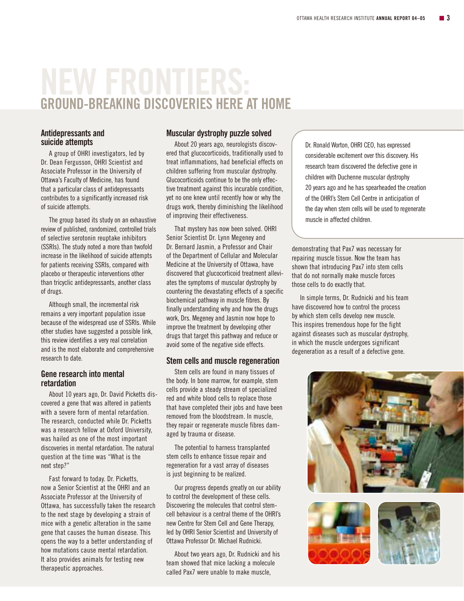## <span id="page-4-0"></span>**GROUND-BREAKING DISCOVERIES HERE AT HOME**

#### **Antidepressants and suicide attempts**

A group of OHRI investigators, led by Dr. Dean Fergusson, OHRI Scientist and Associate Professor in the University of Ottawa's Faculty of Medicine, has found that a particular class of antidepressants contributes to a significantly increased risk of suicide attempts.

The group based its study on an exhaustive review of published, randomized, controlled trials of selective serotonin reuptake inhibitors (SSRIs). The study noted a more than twofold increase in the likelihood of suicide attempts for patients receiving SSRIs, compared with placebo or therapeutic interventions other than tricyclic antidepressants, another class of drugs.

Although small, the incremental risk remains a very important population issue because of the widespread use of SSRIs. While other studies have suggested a possible link, this review identifies a very real correlation and is the most elaborate and comprehensive research to date.

### **Gene research into mental retardation**

About 10 years ago, Dr. David Picketts discovered a gene that was altered in patients with a severe form of mental retardation. The research, conducted while Dr. Picketts was a research fellow at Oxford University, was hailed as one of the most important discoveries in mental retardation. The natural question at the time was "What is the next step?"

Fast forward to today. Dr. Picketts, now a Senior Scientist at the OHRI and an Associate Professor at the University of Ottawa, has successfully taken the research to the next stage by developing a strain of mice with a genetic alteration in the same gene that causes the human disease. This opens the way to a better understanding of how mutations cause mental retardation. It also provides animals for testing new therapeutic approaches.

#### **Muscular dystrophy puzzle solved**

About 20 years ago, neurologists discovered that glucocorticoids, traditionally used to treat inflammations, had beneficial effects on children suffering from muscular dystrophy. Glucocorticoids continue to be the only effective treatment against this incurable condition, yet no one knew until recently how or why the drugs work, thereby diminishing the likelihood of improving their effectiveness.

That mystery has now been solved. OHRI Senior Scientist Dr. Lynn Megeney and Dr. Bernard Jasmin, a Professor and Chair of the Department of Cellular and Molecular Medicine at the University of Ottawa, have discovered that glucocorticoid treatment alleviates the symptoms of muscular dystrophy by countering the devastating effects of a specific biochemical pathway in muscle fibres. By finally understanding why and how the drugs work, Drs. Megeney and Jasmin now hope to improve the treatment by developing other drugs that target this pathway and reduce or avoid some of the negative side effects.

### **Stem cells and muscle regeneration**

Stem cells are found in many tissues of the body. In bone marrow, for example, stem cells provide a steady stream of specialized red and white blood cells to replace those that have completed their jobs and have been removed from the bloodstream. In muscle, they repair or regenerate muscle fibres damaged by trauma or disease.

The potential to harness transplanted stem cells to enhance tissue repair and regeneration for a vast array of diseases is just beginning to be realized.

Our progress depends greatly on our ability to control the development of these cells. Discovering the molecules that control stemcell behaviour is a central theme of the OHRI's new Centre for Stem Cell and Gene Therapy, led by OHRI Senior Scientist and University of Ottawa Professor Dr. Michael Rudnicki.

About two years ago, Dr. Rudnicki and his team showed that mice lacking a molecule called Pax7 were unable to make muscle,

Dr. Ronald Worton, OHRI CEO, has expressed considerable excitement over this discovery. His research team discovered the defective gene in children with Duchenne muscular dystrophy 20 years ago and he has spearheaded the creation of the OHRI's Stem Cell Centre in anticipation of the day when stem cells will be used to regenerate muscle in affected children.

demonstrating that Pax7 was necessary for repairing muscle tissue. Now the team has shown that introducing Pax7 into stem cells that do not normally make muscle forces those cells to do exactly that.

In simple terms, Dr. Rudnicki and his team have discovered how to control the process by which stem cells develop new muscle. This inspires tremendous hope for the fight against diseases such as muscular dystrophy, in which the muscle undergoes significant degeneration as a result of a defective gene.





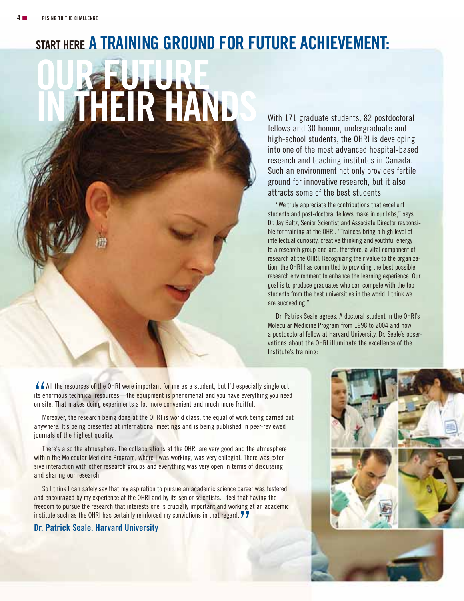## <span id="page-5-0"></span>**START HERE A TRAINING GROUND FOR FUTURE ACHIEVEMENT:**

**OUR FUTURE IN THEIR HANDS** 

With 171 graduate students, 82 postdoctoral fellows and 30 honour, undergraduate and high-school students, the OHRI is developing into one of the most advanced hospital-based research and teaching institutes in Canada. Such an environment not only provides fertile ground for innovative research, but it also attracts some of the best students.

"We truly appreciate the contributions that excellent students and post-doctoral fellows make in our labs," says Dr. Jay Baltz, Senior Scientist and Associate Director responsible for training at the OHRI. "Trainees bring a high level of intellectual curiosity, creative thinking and youthful energy to a research group and are, therefore, a vital component of research at the OHRI. Recognizing their value to the organization, the OHRI has committed to providing the best possible research environment to enhance the learning experience. Our goal is to produce graduates who can compete with the top students from the best universities in the world. I think we are succeeding."

Dr. Patrick Seale agrees. A doctoral student in the OHRI's Molecular Medicine Program from 1998 to 2004 and now a postdoctoral fellow at Harvard University, Dr. Seale's observations about the OHRI illuminate the excellence of the Institute's training:

44<br>its e<br>on si All the resources of the OHRI were important for me as a student, but I'd especially single out its enormous technical resources—th<mark>e equipment is p</mark>henomenal and you have everything you need on site. That makes doing experiments a lot more convenient and much more fruitful.

Moreover, the research being done at the OHRI is world class, the equal of work being carried out anywhere. It's being presented at international meetings and is being published in peer-reviewed journals of the highest quality.

There's also the atmosphere. The collaborations at the OHRI are very good and the atmosphere within the Molecular Medicine Program, where I was working, was very collegial. There was extensive interaction with other research groups and everything was very open in terms of discussing and sharing our research.

So I think I can safely say that my aspiration to pursue an academic science career was fostered and encouraged by my experience at the OHRI and by its senior scientists. I feel that having the freedom to pursue the research that interests one is crucially important and working at an academic institute such as the OHRI has certainly reinforced my convictions in that regard. 77<br>Dr. Patrick Seale, Harvard University

## **Dr. Patrick Seale, Harvard University**

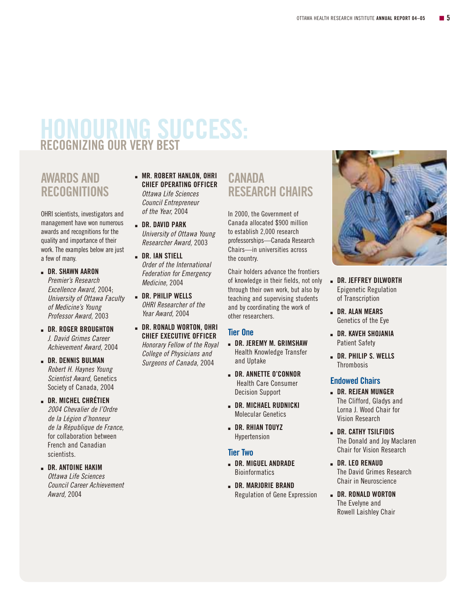## <span id="page-6-0"></span>**HONOURING SUCCESS: RECOGNIZING OUR VERY BEST**

## **AWARDS AND RECOGNITIONS**

OHRI scientists, investigators and management have won numerous awards and recognitions for the quality and importance of their work. The examples below are just a few of many.

- **DR. SHAWN AARON** Premier's Research Excellence Award, 2004; University of Ottawa Faculty of Medicine's Young Professor Award, 2003
- **DR. ROGER BROUGHTON** J. David Grimes Career Achievement Award, 2004
- **DR. DENNIS BULMAN** Robert H. Haynes Young Scientist Award, Genetics Society of Canada, 2004
- **DR. MICHEL CHRÉTIEN** 2004 Chevalier de l'Ordre de la Légion d'honneur de la République de France, for collaboration between French and Canadian scientists.

 **DR. ANTOINE HAKIM** Ottawa Life Sciences Council Career Achievement Award, 2004

- **MR. ROBERT HANLON, OHRI CHIEF OPERATING OFFICER** Ottawa Life Sciences Council Entrepreneur of the Year, 2004
- **DR. DAVID PARK** University of Ottawa Young Researcher Award, 2003
- **DR. IAN STIELL** Order of the International Federation for Emergency Medicine, 2004
- **DR. PHILIP WELLS** OHRI Researcher of the Year Award, 2004
- **DR. RONALD WORTON, OHRI CHIEF EXECUTIVE OFFICER** Honorary Fellow of the Royal College of Physicians and Surgeons of Canada, 2004

## **CANADA RESEARCH CHAIRS**

In 2000, the Government of Canada allocated \$900 million to establish 2,000 research professorships—Canada Research Chairs—in universities across the country.

Chair holders advance the frontiers of knowledge in their fields, not only through their own work, but also by teaching and supervising students and by coordinating the work of other researchers.

## **Tier One**

- **DR. JEREMY M. GRIMSHAW** Health Knowledge Transfer and Uptake
- **DR. ANNETTE O'CONNOR** Health Care Consumer Decision Support
- **DR. MICHAEL RUDNICKI** Molecular Genetics
- **DR. RHIAN TOUYZ** Hypertension

## **Tier Two**

- **DR. MIGUEL ANDRADE Bioinformatics**
- **DR. MARJORIE BRAND** Regulation of Gene Expression



- **DR. JEFFREY DILWORTH** Epigenetic Regulation of Transcription
- **DR. ALAN MEARS** Genetics of the Eye
- **DR. KAVEH SHOJANIA** Patient Safety
- **DR. PHILIP S. WELLS Thrombosis**

## **Endowed Chairs**

- **DR. REJEAN MUNGER** The Clifford, Gladys and Lorna J. Wood Chair for Vision Research
- **DR. CATHY TSILFIDIS** The Donald and Joy Maclaren Chair for Vision Research
- **L** DR. LEO RENAUD The David Grimes Research Chair in Neuroscience
- **DR. RONALD WORTON** The Evelyne and Rowell Laishley Chair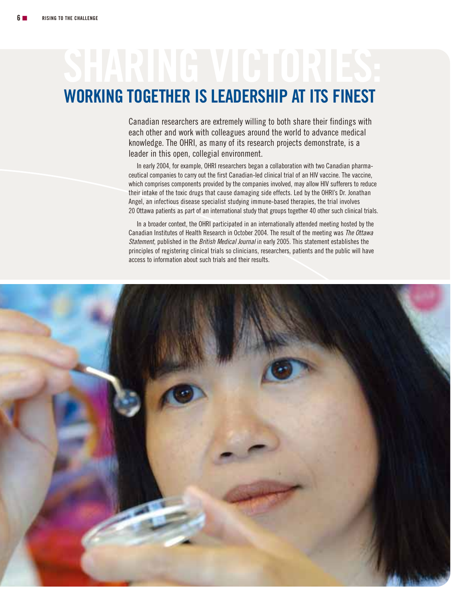# <span id="page-7-0"></span>**WORKING TOGETHER IS LEADERSHIP AT ITS FINEST**

Canadian researchers are extremely willing to both share their findings with each other and work with colleagues around the world to advance medical knowledge. The OHRI, as many of its research projects demonstrate, is a leader in this open, collegial environment.

In early 2004, for example, OHRI researchers began a collaboration with two Canadian pharmaceutical companies to carry out the first Canadian-led clinical trial of an HIV vaccine. The vaccine, which comprises components provided by the companies involved, may allow HIV sufferers to reduce their intake of the toxic drugs that cause damaging side effects. Led by the OHRI's Dr. Jonathan Angel, an infectious disease specialist studying immune-based therapies, the trial involves 20 Ottawa patients as part of an international study that groups together 40 other such clinical trials.

In a broader context, the OHRI participated in an internationally attended meeting hosted by the Canadian Institutes of Health Research in October 2004. The result of the meeting was The Ottawa Statement, published in the British Medical Journal in early 2005. This statement establishes the principles of registering clinical trials so clinicians, researchers, patients and the public will have access to information about such trials and their results.

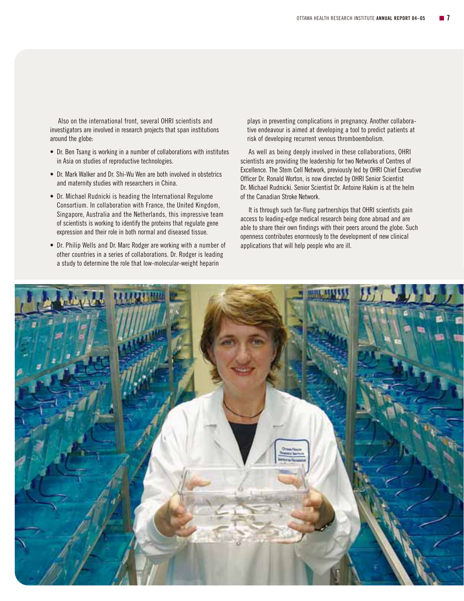Also on the international front, several OHRI scientists and investigators are involved in research projects that span institutions around the globe:

- Dr. Ben Tsang is working in a number of collaborations with institutes in Asia on studies of reproductive technologies.
- Dr. Mark Walker and Dr. Shi-Wu Wen are both involved in obstetrics and maternity studies with researchers in China.
- Dr. Michael Rudnicki is heading the International Regulome Consortium. In collaboration with France, the United Kingdom, Singapore, Australia and the Netherlands, this impressive team of scientists is working to identify the proteins that regulate gene expression and their role in both normal and diseased tissue.
- Dr. Philip Wells and Dr. Marc Rodger are working with a number of other countries in a series of collaborations. Dr. Rodger is leading a study to determine the role that low-molecular-weight heparin

plays in preventing complications in pregnancy. Another collaborative endeavour is aimed at developing a tool to predict patients at risk of developing recurrent venous thromboembolism.

As well as being deeply involved in these collaborations, OHRI scientists are providing the leadership for two Networks of Centres of Excellence. The Stem Cell Network, previously led by OHRI Chief Executive Officer Dr. Ronald Worton, is now directed by OHRI Senior Scientist Dr. Michael Rudnicki. Senior Scientist Dr. Antoine Hakim is at the helm of the Canadian Stroke Network.

It is through such far-flung partnerships that OHRI scientists gain access to leading-edge medical research being done abroad and are able to share their own findings with their peers around the globe. Such openness contributes enormously to the development of new clinical applications that will help people who are ill.

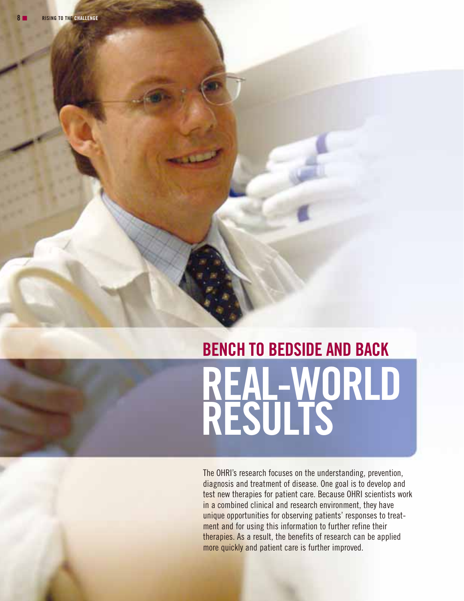## <span id="page-9-0"></span>**BENCH TO BEDSIDE AND BACK REAL-WORLD RESULTS**

The OHRI's research focuses on the understanding, prevention, diagnosis and treatment of disease. One goal is to develop and test new therapies for patient care. Because OHRI scientists work in a combined clinical and research environment, they have unique opportunities for observing patients' responses to treatment and for using this information to further refine their therapies. As a result, the benefits of research can be applied more quickly and patient care is further improved.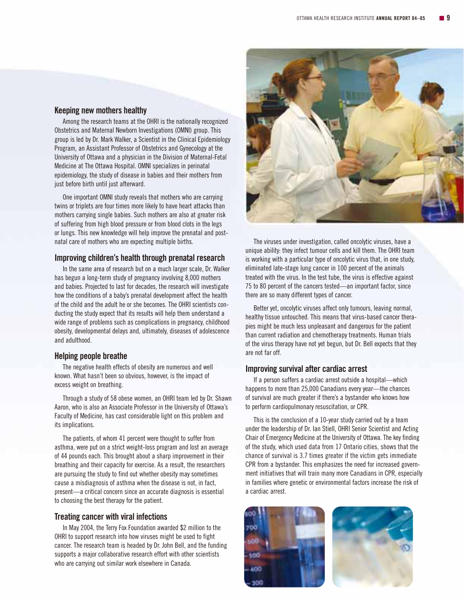#### **Keeping new mothers healthy**

Among the research teams at the OHRI is the nationally recognized Obstetrics and Maternal Newborn Investigations (OMNI) group. This group is led by Dr. Mark Walker, a Scientist in the Clinical Epidemiology Program, an Assistant Professor of Obstetrics and Gynecology at the University of Ottawa and a physician in the Division of Maternal-Fetal Medicine at The Ottawa Hospital. OMNI specializes in perinatal epidemiology, the study of disease in babies and their mothers from just before birth until just afterward.

One important OMNI study reveals that mothers who are carrying twins or triplets are four times more likely to have heart attacks than mothers carrying single babies. Such mothers are also at greater risk of suffering from high blood pressure or from blood clots in the legs or lungs. This new knowledge will help improve the prenatal and postnatal care of mothers who are expecting multiple births.

#### **Improving children's health through prenatal research**

In the same area of research but on a much larger scale, Dr. Walker has begun a long-term study of pregnancy involving 8,000 mothers and babies. Projected to last for decades, the research will investigate how the conditions of a baby's prenatal development affect the health of the child and the adult he or she becomes. The OHRI scientists conducting the study expect that its results will help them understand a wide range of problems such as complications in pregnancy, childhood obesity, developmental delays and, ultimately, diseases of adolescence and adulthood.

#### **Helping people breathe**

The negative health effects of obesity are numerous and well known. What hasn't been so obvious, however, is the impact of excess weight on breathing.

Through a study of 58 obese women, an OHRI team led by Dr. Shawn Aaron, who is also an Associate Professor in the University of Ottawa's Faculty of Medicine, has cast considerable light on this problem and its implications.

The patients, of whom 41 percent were thought to suffer from asthma, were put on a strict weight-loss program and lost an average of 44 pounds each. This brought about a sharp improvement in their breathing and their capacity for exercise. As a result, the researchers are pursuing the study to find out whether obesity may sometimes cause a misdiagnosis of asthma when the disease is not, in fact, present—a critical concern since an accurate diagnosis is essential to choosing the best therapy for the patient.

#### **Treating cancer with viral infections**

In May 2004, the Terry Fox Foundation awarded \$2 million to the OHRI to support research into how viruses might be used to fight cancer. The research team is headed by Dr. John Bell, and the funding supports a major collaborative research effort with other scientists who are carrying out similar work elsewhere in Canada.



The viruses under investigation, called oncolytic viruses, have a unique ability: they infect tumour cells and kill them. The OHRI team is working with a particular type of oncolytic virus that, in one study, eliminated late-stage lung cancer in 100 percent of the animals treated with the virus. In the test tube, the virus is effective against 75 to 80 percent of the cancers tested—an important factor, since there are so many different types of cancer.

Better yet, oncolytic viruses affect only tumours, leaving normal, healthy tissue untouched. This means that virus-based cancer therapies might be much less unpleasant and dangerous for the patient than current radiation and chemotherapy treatments. Human trials of the virus therapy have not yet begun, but Dr. Bell expects that they are not far off.

#### **Improving survival after cardiac arrest**

If a person suffers a cardiac arrest outside a hospital—which happens to more than 25,000 Canadians every year—the chances of survival are much greater if there's a bystander who knows how to perform cardiopulmonary resuscitation, or CPR.

This is the conclusion of a 10-year study carried out by a team under the leadership of Dr. Ian Stiell, OHRI Senior Scientist and Acting Chair of Emergency Medicine at the University of Ottawa. The key finding of the study, which used data from 17 Ontario cities, shows that the chance of survival is 3.7 times greater if the victim gets immediate CPR from a bystander. This emphasizes the need for increased government initiatives that will train many more Canadians in CPR, especially in families where genetic or environmental factors increase the risk of a cardiac arrest.